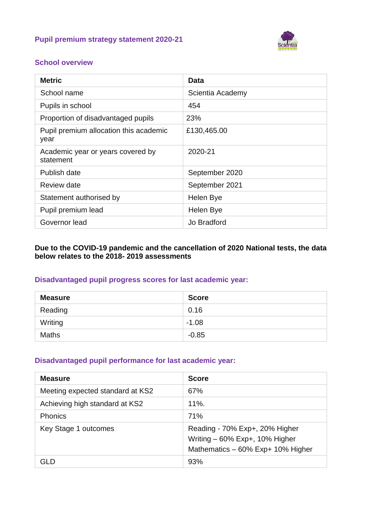### **Pupil premium strategy statement 2020-21**



### **School overview**

| <b>Metric</b>                                  | <b>Data</b>      |
|------------------------------------------------|------------------|
| School name                                    | Scientia Academy |
| Pupils in school                               | 454              |
| Proportion of disadvantaged pupils             | 23%              |
| Pupil premium allocation this academic<br>year | £130,465.00      |
| Academic year or years covered by<br>statement | 2020-21          |
| Publish date                                   | September 2020   |
| Review date                                    | September 2021   |
| Statement authorised by                        | Helen Bye        |
| Pupil premium lead                             | Helen Bye        |
| Governor lead                                  | Jo Bradford      |

#### **Due to the COVID-19 pandemic and the cancellation of 2020 National tests, the data below relates to the 2018- 2019 assessments**

### **Disadvantaged pupil progress scores for last academic year:**

| <b>Measure</b> | <b>Score</b> |
|----------------|--------------|
| Reading        | 0.16         |
| Writing        | $-1.08$      |
| <b>Maths</b>   | $-0.85$      |

### **Disadvantaged pupil performance for last academic year:**

| <b>Measure</b>                   | <b>Score</b>                                                                                            |
|----------------------------------|---------------------------------------------------------------------------------------------------------|
| Meeting expected standard at KS2 | 67%                                                                                                     |
| Achieving high standard at KS2   | 11%.                                                                                                    |
| <b>Phonics</b>                   | 71%                                                                                                     |
| Key Stage 1 outcomes             | Reading - 70% Exp+, 20% Higher<br>Writing $-60\%$ Exp+, 10% Higher<br>Mathematics - 60% Exp+ 10% Higher |
| GI D                             | 93%                                                                                                     |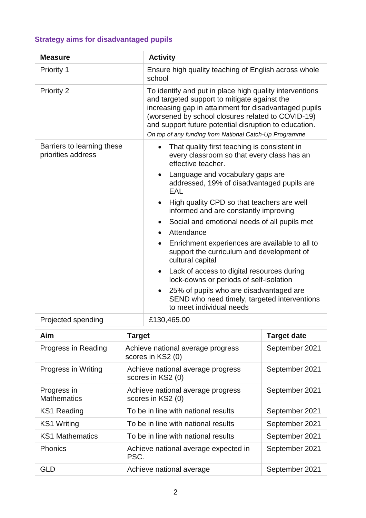# **Strategy aims for disadvantaged pupils**

| <b>Measure</b>                                   | <b>Activity</b>                                                                                                                                                                                                                                                                                                                          |  |
|--------------------------------------------------|------------------------------------------------------------------------------------------------------------------------------------------------------------------------------------------------------------------------------------------------------------------------------------------------------------------------------------------|--|
| Priority 1                                       | Ensure high quality teaching of English across whole<br>school                                                                                                                                                                                                                                                                           |  |
| Priority 2                                       | To identify and put in place high quality interventions<br>and targeted support to mitigate against the<br>increasing gap in attainment for disadvantaged pupils<br>(worsened by school closures related to COVID-19)<br>and support future potential disruption to education.<br>On top of any funding from National Catch-Up Programme |  |
| Barriers to learning these<br>priorities address | That quality first teaching is consistent in<br>$\bullet$<br>every classroom so that every class has an<br>effective teacher.                                                                                                                                                                                                            |  |
|                                                  | Language and vocabulary gaps are<br>addressed, 19% of disadvantaged pupils are<br>EAL                                                                                                                                                                                                                                                    |  |
|                                                  | High quality CPD so that teachers are well<br>informed and are constantly improving                                                                                                                                                                                                                                                      |  |
|                                                  | Social and emotional needs of all pupils met<br>$\bullet$<br>Attendance<br>$\bullet$                                                                                                                                                                                                                                                     |  |
|                                                  | Enrichment experiences are available to all to<br>$\bullet$<br>support the curriculum and development of<br>cultural capital                                                                                                                                                                                                             |  |
|                                                  | Lack of access to digital resources during<br>$\bullet$<br>lock-downs or periods of self-isolation                                                                                                                                                                                                                                       |  |
|                                                  | 25% of pupils who are disadvantaged are<br>SEND who need timely, targeted interventions<br>to meet individual needs                                                                                                                                                                                                                      |  |
| Projected spending                               | £130,465.00                                                                                                                                                                                                                                                                                                                              |  |

| Aim                               | <b>Target</b>                                          | <b>Target date</b> |
|-----------------------------------|--------------------------------------------------------|--------------------|
| Progress in Reading               | Achieve national average progress<br>scores in KS2 (0) | September 2021     |
| Progress in Writing               | Achieve national average progress<br>scores in KS2 (0) | September 2021     |
| Progress in<br><b>Mathematics</b> | Achieve national average progress<br>scores in KS2 (0) | September 2021     |
| <b>KS1 Reading</b>                | To be in line with national results                    | September 2021     |
| <b>KS1 Writing</b>                | To be in line with national results                    | September 2021     |
| <b>KS1 Mathematics</b>            | To be in line with national results                    | September 2021     |
| <b>Phonics</b>                    | Achieve national average expected in<br>PSC.           | September 2021     |
| GLD                               | Achieve national average                               | September 2021     |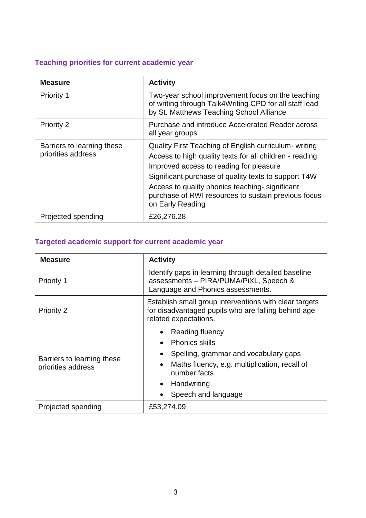## **Teaching priorities for current academic year**

| <b>Measure</b>                                   | <b>Activity</b>                                                                                                                                                                                                                                                                                                                                  |
|--------------------------------------------------|--------------------------------------------------------------------------------------------------------------------------------------------------------------------------------------------------------------------------------------------------------------------------------------------------------------------------------------------------|
| Priority 1                                       | Two-year school improvement focus on the teaching<br>of writing through Talk4Writing CPD for all staff lead<br>by St. Matthews Teaching School Alliance                                                                                                                                                                                          |
| <b>Priority 2</b>                                | Purchase and introduce Accelerated Reader across<br>all year groups                                                                                                                                                                                                                                                                              |
| Barriers to learning these<br>priorities address | Quality First Teaching of English curriculum- writing<br>Access to high quality texts for all children - reading<br>Improved access to reading for pleasure<br>Significant purchase of quality texts to support T4W<br>Access to quality phonics teaching-significant<br>purchase of RWI resources to sustain previous focus<br>on Early Reading |
| Projected spending                               | £26,276.28                                                                                                                                                                                                                                                                                                                                       |

## **Targeted academic support for current academic year**

| <b>Measure</b>                                   | <b>Activity</b>                                                                                                                                                                                                                                           |  |
|--------------------------------------------------|-----------------------------------------------------------------------------------------------------------------------------------------------------------------------------------------------------------------------------------------------------------|--|
| <b>Priority 1</b>                                | Identify gaps in learning through detailed baseline<br>assessments - PIRA/PUMA/PiXL, Speech &<br>Language and Phonics assessments.                                                                                                                        |  |
| <b>Priority 2</b>                                | Establish small group interventions with clear targets<br>for disadvantaged pupils who are falling behind age<br>related expectations.                                                                                                                    |  |
| Barriers to learning these<br>priorities address | Reading fluency<br>$\bullet$<br><b>Phonics skills</b><br>$\bullet$<br>Spelling, grammar and vocabulary gaps<br>$\bullet$<br>Maths fluency, e.g. multiplication, recall of<br>$\bullet$<br>number facts<br>Handwriting<br>$\bullet$<br>Speech and language |  |
| Projected spending                               | £53,274.09                                                                                                                                                                                                                                                |  |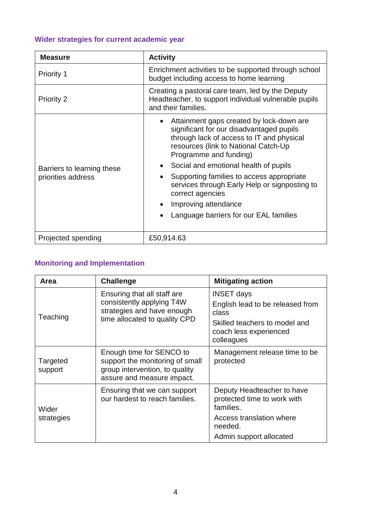# **Wider strategies for current academic year**

| <b>Measure</b>                                   | <b>Activity</b>                                                                                                                                                                                                                                                                                                                                                                                                                                            |  |
|--------------------------------------------------|------------------------------------------------------------------------------------------------------------------------------------------------------------------------------------------------------------------------------------------------------------------------------------------------------------------------------------------------------------------------------------------------------------------------------------------------------------|--|
| <b>Priority 1</b>                                | Enrichment activities to be supported through school<br>budget including access to home learning                                                                                                                                                                                                                                                                                                                                                           |  |
| <b>Priority 2</b>                                | Creating a pastoral care team, led by the Deputy<br>Headteacher, to support individual vulnerable pupils<br>and their families.                                                                                                                                                                                                                                                                                                                            |  |
| Barriers to learning these<br>priorities address | Attainment gaps created by lock-down are<br>$\bullet$<br>significant for our disadvantaged pupils<br>through lack of access to IT and physical<br>resources (link to National Catch-Up<br>Programme and funding)<br>Social and emotional health of pupils<br>Supporting families to access appropriate<br>$\bullet$<br>services through Early Help or signposting to<br>correct agencies<br>Improving attendance<br>Language barriers for our EAL families |  |
| Projected spending                               | £50,914.63                                                                                                                                                                                                                                                                                                                                                                                                                                                 |  |

# **Monitoring and Implementation**

| Area                | <b>Challenge</b>                                                                                                            | <b>Mitigating action</b>                                                                                                                |
|---------------------|-----------------------------------------------------------------------------------------------------------------------------|-----------------------------------------------------------------------------------------------------------------------------------------|
| Teaching            | Ensuring that all staff are<br>consistently applying T4W<br>strategies and have enough<br>time allocated to quality CPD     | <b>INSET days</b><br>English lead to be released from<br>class<br>Skilled teachers to model and<br>coach less experienced<br>colleagues |
| Targeted<br>support | Enough time for SENCO to<br>support the monitoring of small<br>group intervention, to quality<br>assure and measure impact. | Management release time to be<br>protected                                                                                              |
| Wider<br>strategies | Ensuring that we can support<br>our hardest to reach families.                                                              | Deputy Headteacher to have<br>protected time to work with<br>families.<br>Access translation where                                      |
|                     |                                                                                                                             | needed.<br>Admin support allocated                                                                                                      |